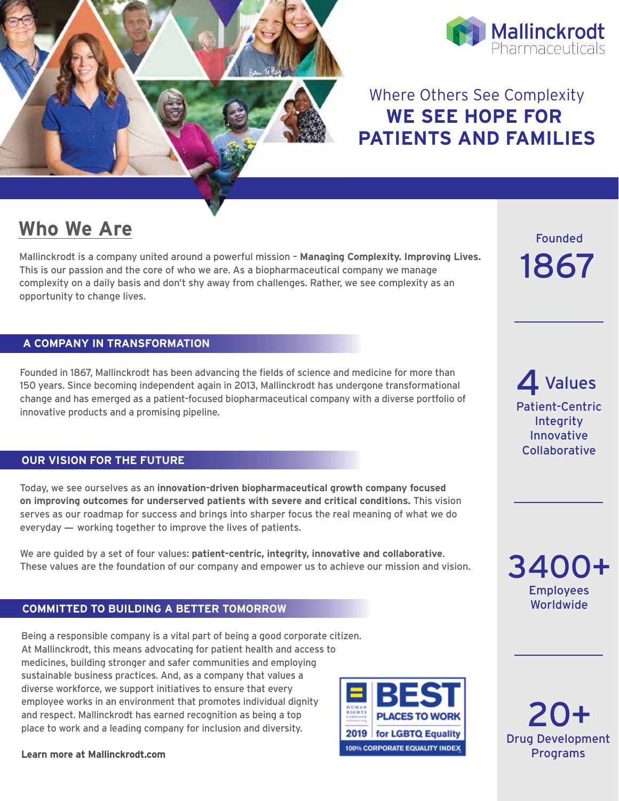



### Where Others See Complexity **WE SEE HOPE FOR PATIENTS AND FAMILIES**

## **Who We Are**

Mallinckrodt is a company united around a powerful mission – **Managing Complexity. Improving Lives.** This is our passion and the core of who we are. As a biopharmaceutical company we manage complexity on a daily basis and don't shy away from challenges. Rather, we see complexity as an opportunity to change lives.

### **A COMPANY IN TRANSFORMATION**

Founded in 1867, Mallinckrodt has been advancing the fields of science and medicine for more than 150 years. Since becoming independent again in 2013, Mallinckrodt has undergone transformational change and has emerged as a patient-focused biopharmaceutical company with a diverse portfolio of innovative products and a promising pipeline.

### **PATHE AT THE FUTURE WE DO NOTE**

Today, we see ourselves as an **innovation-driven biopharmaceutical growth company focused on improving outcomes for underserved patients with severe and critical conditions.** This vision serves as our roadmap for success and brings into sharper focus the real meaning of what we do everyday  $-$  working together to improve the lives of patients.

We are guided by a set of four values: **patient-centric, integrity, innovative and collaborative**. These values are the foundation of our company and empower us to achieve our mission and vision.

#### **COMMITTED TO BUILDING A BETTER TOMORROW**

Being a responsible company is a vital part of being a good corporate citizen. At Mallinckrodt, this means advocating for patient health and access to medicines, building stronger and safer communities and employing sustainable business practices. And, as a company that values a diverse workforce, we support initiatives to ensure that every employee works in an environment that promotes individual dignity and respect. Mallinckrodt has earned recognition as being a top place to work and a leading company for inclusion and diversity.





Founded 1867

4 Values Patient-Centric **Integrity** Innovative Collaborative

Employees Worldwide 3400+

Drug Development Programs 20+